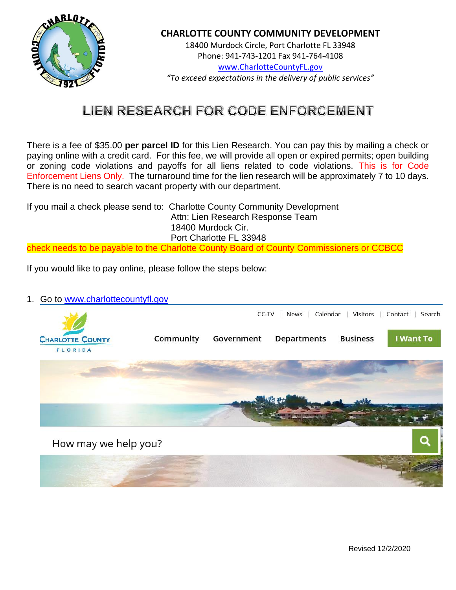

18400 Murdock Circle, Port Charlotte FL 33948 Phone: 941-743-1201 Fax 941-764-4108 [www.CharlotteCountyFL.gov](http://www.charlottecountyfl.gov/) *"To exceed expectations in the delivery of public services"*

# **LIEN RESEARCH FOR CODE ENFORCEMENT**

There is a fee of \$35.00 **per parcel ID** for this Lien Research. You can pay this by mailing a check or paying online with a credit card. For this fee, we will provide all open or expired permits; open building or zoning code violations and payoffs for all liens related to code violations. This is for Code Enforcement Liens Only. The turnaround time for the lien research will be approximately 7 to 10 days. There is no need to search vacant property with our department.

If you mail a check please send to: Charlotte County Community Development Attn: Lien Research Response Team 18400 Murdock Cir. Port Charlotte FL 33948

check needs to be payable to the Charlotte County Board of County Commissioners or CCBCC

If you would like to pay online, please follow the steps below:

#### 1. Go to [www.charlottecountyfl.gov](http://www.charlottecountyfl.gov/)

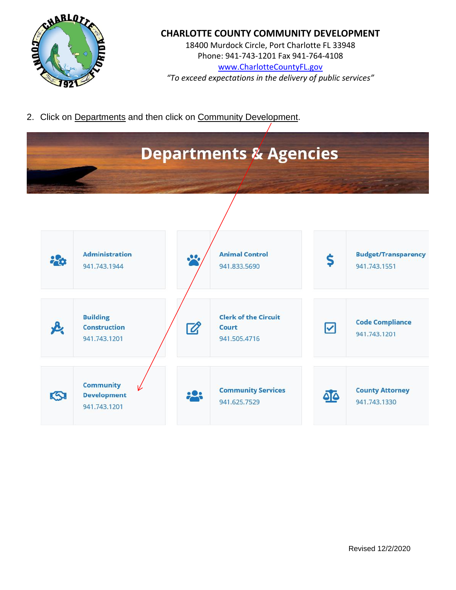

18400 Murdock Circle, Port Charlotte FL 33948 Phone: 941-743-1201 Fax 941-764-4108 [www.CharlotteCountyFL.gov](http://www.charlottecountyfl.gov/) *"To exceed expectations in the delivery of public services"*

2. Click on Departments and then click on Community Development.

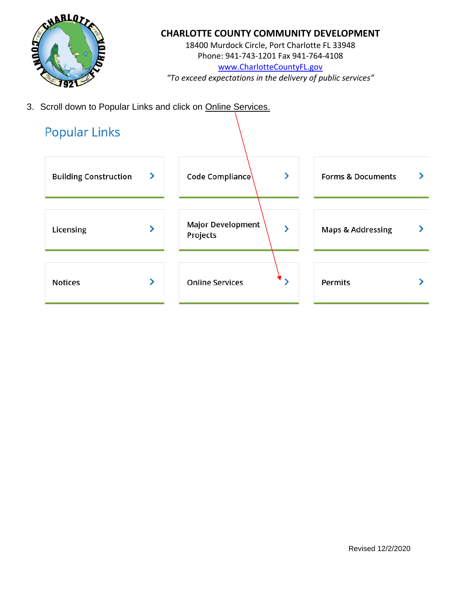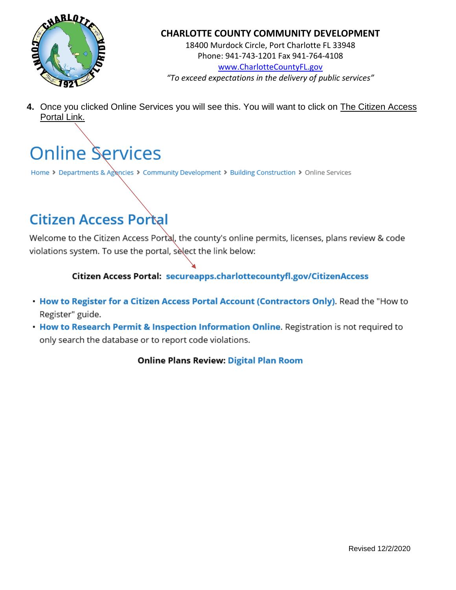

18400 Murdock Circle, Port Charlotte FL 33948 Phone: 941-743-1201 Fax 941-764-4108 [www.CharlotteCountyFL.gov](http://www.charlottecountyfl.gov/) *"To exceed expectations in the delivery of public services"*

**4.** Once you clicked Online Services you will see this. You will want to click on The Citizen Access Portal Link.

# **Online Services**

Home > Departments & Agencies > Community Development > Building Construction > Online Services

# **Citizen Access Portal**

Welcome to the Citizen Access Portal, the county's online permits, licenses, plans review & code violations system. To use the portal, select the link below:

Citizen Access Portal: secureapps.charlottecountyfl.gov/CitizenAccess

- . How to Register for a Citizen Access Portal Account (Contractors Only). Read the "How to Register" guide.
- . How to Research Permit & Inspection Information Online. Registration is not required to only search the database or to report code violations.

**Online Plans Review: Digital Plan Room**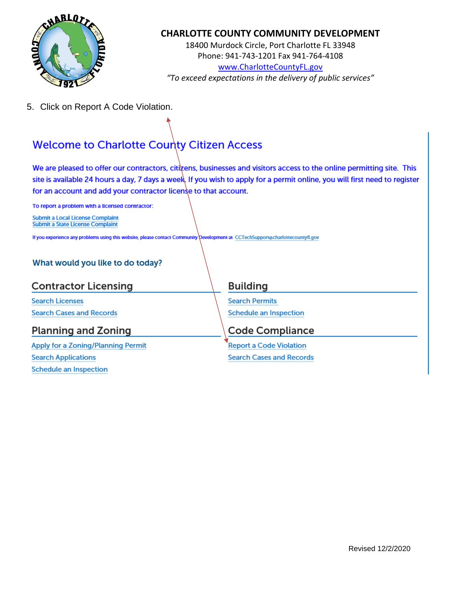

18400 Murdock Circle, Port Charlotte FL 33948 Phone: 941-743-1201 Fax 941-764-4108 [www.CharlotteCountyFL.gov](http://www.charlottecountyfl.gov/) *"To exceed expectations in the delivery of public services"*

5. Click on Report A Code Violation.

# **Welcome to Charlotte County Citizen Access**

We are pleased to offer our contractors, citizens, businesses and visitors access to the online permitting site. This site is available 24 hours a day, 7 days a week. If you wish to apply for a permit online, you will first need to register for an account and add your contractor license to that account.

To report a problem with a licensed contractor:

**Submit a Local License Complaint Submit a State License Complaint** 

If you experience any problems using this website, please contact Community Development at CCTechSupport@charlottecountyfl.gov

#### What would you like to do today?

## **Contractor Licensing**

**Search Licenses Search Cases and Records** 

# **Planning and Zoning**

**Apply for a Zoning/Planning Permit Search Applications Schedule an Inspection** 

### **Building**

**Search Permits Schedule an Inspection** 

### Code Compliance

**Report a Code Violation Search Cases and Records**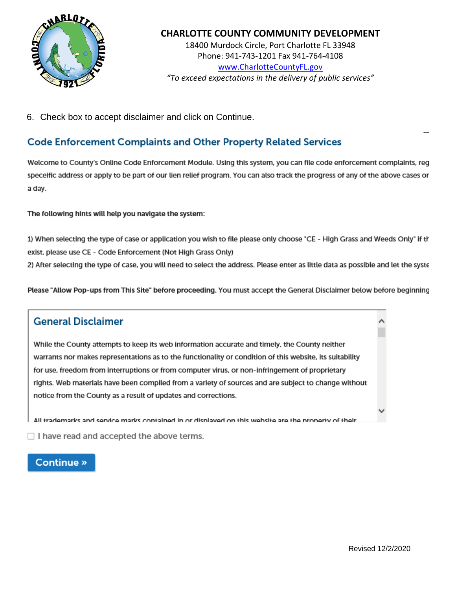

18400 Murdock Circle, Port Charlotte FL 33948 Phone: 941-743-1201 Fax 941-764-4108 [www.CharlotteCountyFL.gov](http://www.charlottecountyfl.gov/) *"To exceed expectations in the delivery of public services"*

6. Check box to accept disclaimer and click on Continue.

## **Code Enforcement Complaints and Other Property Related Services**

Welcome to County's Online Code Enforcement Module. Using this system, you can file code enforcement complaints, reg speceific address or apply to be part of our lien relief program. You can also track the progress of any of the above cases or a day.

The following hints will help you navigate the system:

1) When selecting the type of case or application you wish to file please only choose "CE - High Grass and Weeds Only" if th exist, please use CE - Code Enforcement (Not High Grass Only)

2) After selecting the type of case, you will need to select the address. Please enter as little data as possible and let the syste

Please "Allow Pop-ups from This Site" before proceeding. You must accept the General Disclaimer below before beginning

### **General Disclaimer**

While the County attempts to keep its web information accurate and timely, the County neither warrants nor makes representations as to the functionality or condition of this website, its suitability for use, freedom from interruptions or from computer virus, or non-infringement of proprietary rights. Web materials have been compiled from a variety of sources and are subject to change without notice from the County as a result of updates and corrections.

All trademarks and service marks contained in or disnlaved on this website are the property of their

 $\Box$  I have read and accepted the above terms.

#### **Continue** »